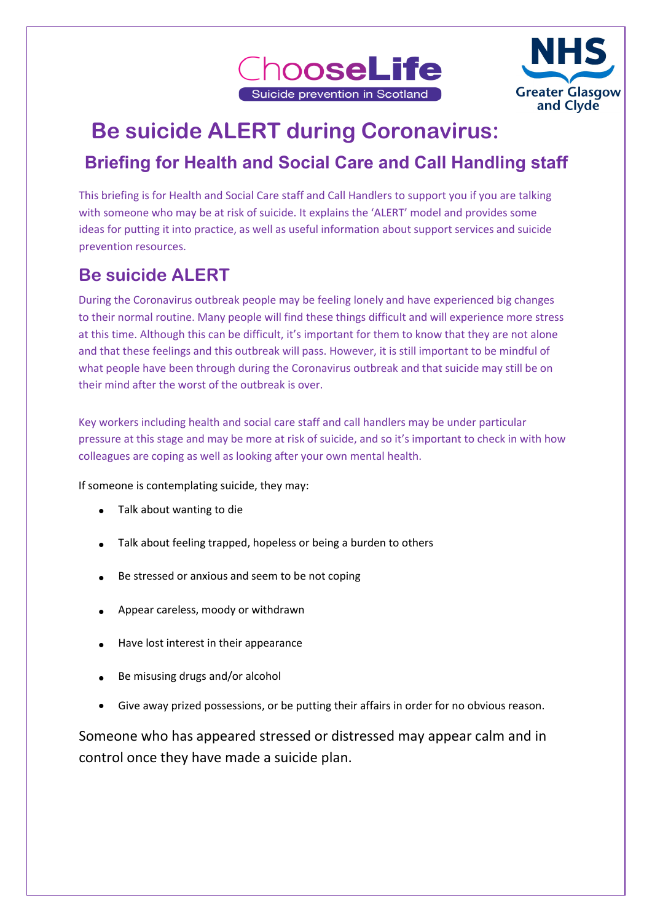



# **Be suicide ALERT during Coronavirus:**

# **Briefing for Health and Social Care and Call Handling staff**

This briefing is for Health and Social Care staff and Call Handlers to support you if you are talking with someone who may be at risk of suicide. It explains the 'ALERT' model and provides some ideas for putting it into practice, as well as useful information about support services and suicide prevention resources.

# **Be suicide ALERT**

During the Coronavirus outbreak people may be feeling lonely and have experienced big changes to their normal routine. Many people will find these things difficult and will experience more stress at this time. Although this can be difficult, it's important for them to know that they are not alone and that these feelings and this outbreak will pass. However, it is still important to be mindful of what people have been through during the Coronavirus outbreak and that suicide may still be on their mind after the worst of the outbreak is over.

Key workers including health and social care staff and call handlers may be under particular pressure at this stage and may be more at risk of suicide, and so it's important to check in with how colleagues are coping as well as looking after your own mental health.

If someone is contemplating suicide, they may:

- Talk about wanting to die
- Talk about feeling trapped, hopeless or being a burden to others
- Be stressed or anxious and seem to be not coping
- Appear careless, moody or withdrawn
- Have lost interest in their appearance
- Be misusing drugs and/or alcohol
- Give away prized possessions, or be putting their affairs in order for no obvious reason.

Someone who has appeared stressed or distressed may appear calm and in control once they have made a suicide plan.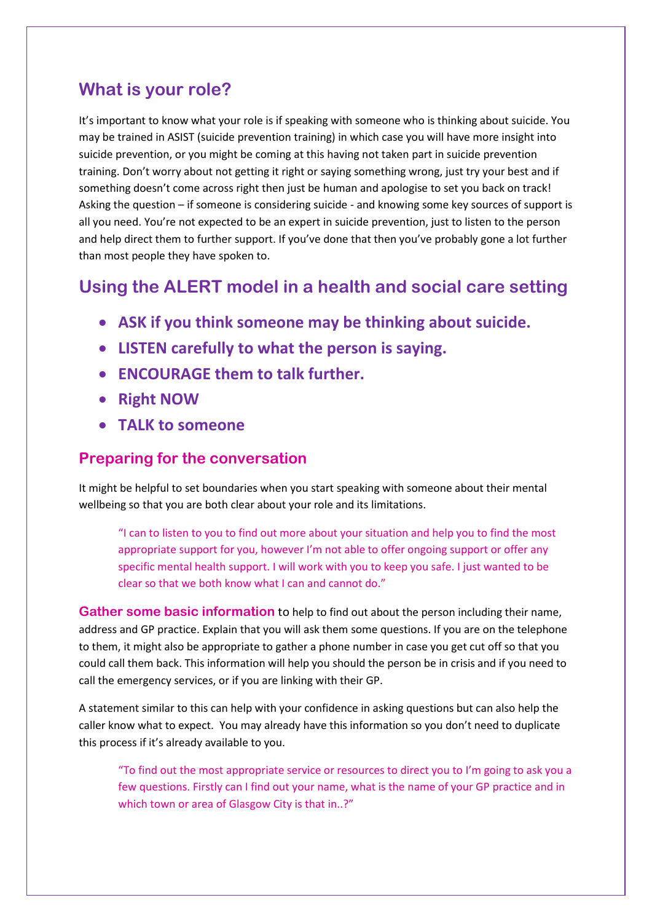### **What is your role?**

It's important to know what your role is if speaking with someone who is thinking about suicide. You may be trained in ASIST (suicide prevention training) in which case you will have more insight into suicide prevention, or you might be coming at this having not taken part in suicide prevention training. Don't worry about not getting it right or saying something wrong, just try your best and if something doesn't come across right then just be human and apologise to set you back on track! Asking the question – if someone is considering suicide - and knowing some key sources of support is all you need. You're not expected to be an expert in suicide prevention, just to listen to the person and help direct them to further support. If you've done that then you've probably gone a lot further than most people they have spoken to.

### **Using the ALERT model in a health and social care setting**

- **ASK if you think someone may be thinking about suicide.**
- **LISTEN carefully to what the person is saying.**
- **ENCOURAGE them to talk further.**
- **Right NOW**
- **TALK to someone**

### **Preparing for the conversation**

It might be helpful to set boundaries when you start speaking with someone about their mental wellbeing so that you are both clear about your role and its limitations.

"I can to listen to you to find out more about your situation and help you to find the most appropriate support for you, however I'm not able to offer ongoing support or offer any specific mental health support. I will work with you to keep you safe. I just wanted to be clear so that we both know what I can and cannot do."

**Gather some basic information** to help to find out about the person including their name, address and GP practice. Explain that you will ask them some questions. If you are on the telephone to them, it might also be appropriate to gather a phone number in case you get cut off so that you could call them back. This information will help you should the person be in crisis and if you need to call the emergency services, or if you are linking with their GP.

A statement similar to this can help with your confidence in asking questions but can also help the caller know what to expect. You may already have this information so you don't need to duplicate this process if it's already available to you.

"To find out the most appropriate service or resources to direct you to I'm going to ask you a few questions. Firstly can I find out your name, what is the name of your GP practice and in which town or area of Glasgow City is that in..?"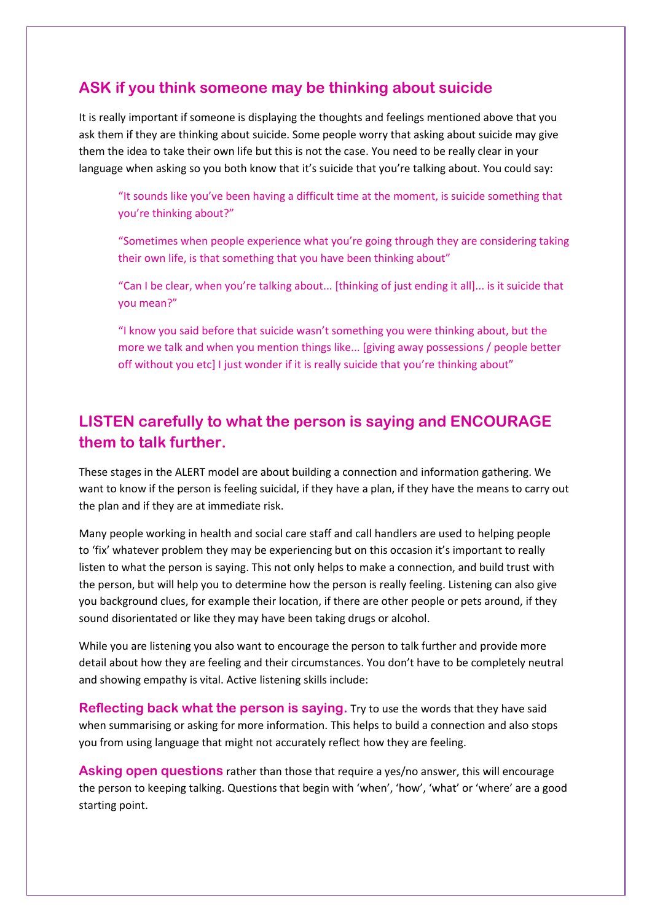### **ASK if you think someone may be thinking about suicide**

It is really important if someone is displaying the thoughts and feelings mentioned above that you ask them if they are thinking about suicide. Some people worry that asking about suicide may give them the idea to take their own life but this is not the case. You need to be really clear in your language when asking so you both know that it's suicide that you're talking about. You could say:

"It sounds like you've been having a difficult time at the moment, is suicide something that you're thinking about?"

"Sometimes when people experience what you're going through they are considering taking their own life, is that something that you have been thinking about"

"Can I be clear, when you're talking about... [thinking of just ending it all]... is it suicide that you mean?"

"I know you said before that suicide wasn't something you were thinking about, but the more we talk and when you mention things like... [giving away possessions / people better off without you etc] I just wonder if it is really suicide that you're thinking about"

### **LISTEN carefully to what the person is saying and ENCOURAGE them to talk further.**

These stages in the ALERT model are about building a connection and information gathering. We want to know if the person is feeling suicidal, if they have a plan, if they have the means to carry out the plan and if they are at immediate risk.

Many people working in health and social care staff and call handlers are used to helping people to 'fix' whatever problem they may be experiencing but on this occasion it's important to really listen to what the person is saying. This not only helps to make a connection, and build trust with the person, but will help you to determine how the person is really feeling. Listening can also give you background clues, for example their location, if there are other people or pets around, if they sound disorientated or like they may have been taking drugs or alcohol.

While you are listening you also want to encourage the person to talk further and provide more detail about how they are feeling and their circumstances. You don't have to be completely neutral and showing empathy is vital. Active listening skills include:

**Reflecting back what the person is saying.** Try to use the words that they have said when summarising or asking for more information. This helps to build a connection and also stops you from using language that might not accurately reflect how they are feeling.

**Asking open questions** rather than those that require a yes/no answer, this will encourage the person to keeping talking. Questions that begin with 'when', 'how', 'what' or 'where' are a good starting point.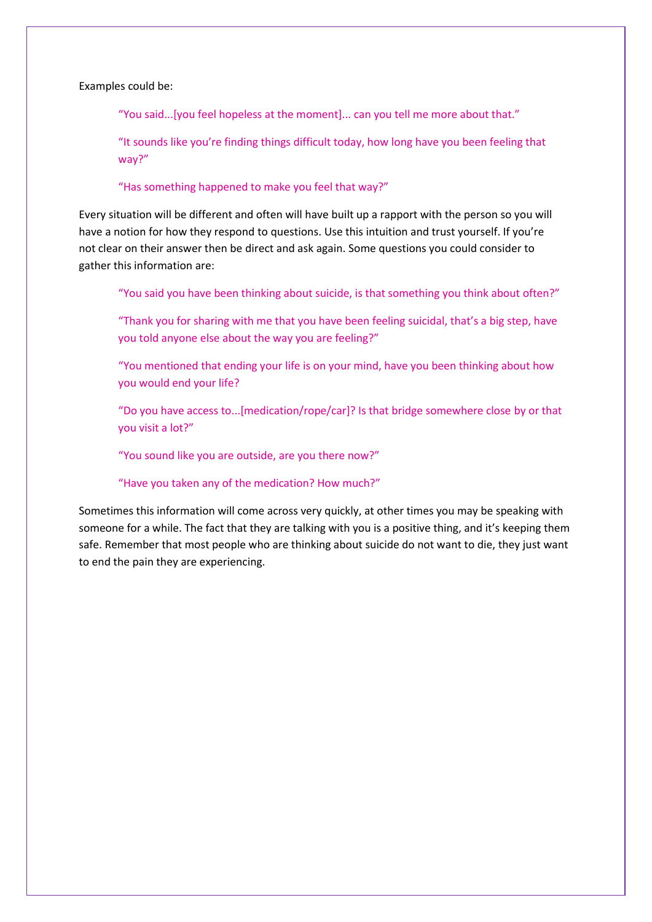Examples could be:

"You said...[you feel hopeless at the moment]... can you tell me more about that."

"It sounds like you're finding things difficult today, how long have you been feeling that way?"

"Has something happened to make you feel that way?"

Every situation will be different and often will have built up a rapport with the person so you will have a notion for how they respond to questions. Use this intuition and trust yourself. If you're not clear on their answer then be direct and ask again. Some questions you could consider to gather this information are:

"You said you have been thinking about suicide, is that something you think about often?"

"Thank you for sharing with me that you have been feeling suicidal, that's a big step, have you told anyone else about the way you are feeling?"

"You mentioned that ending your life is on your mind, have you been thinking about how you would end your life?

"Do you have access to...[medication/rope/car]? Is that bridge somewhere close by or that you visit a lot?"

"You sound like you are outside, are you there now?"

"Have you taken any of the medication? How much?"

Sometimes this information will come across very quickly, at other times you may be speaking with someone for a while. The fact that they are talking with you is a positive thing, and it's keeping them safe. Remember that most people who are thinking about suicide do not want to die, they just want to end the pain they are experiencing.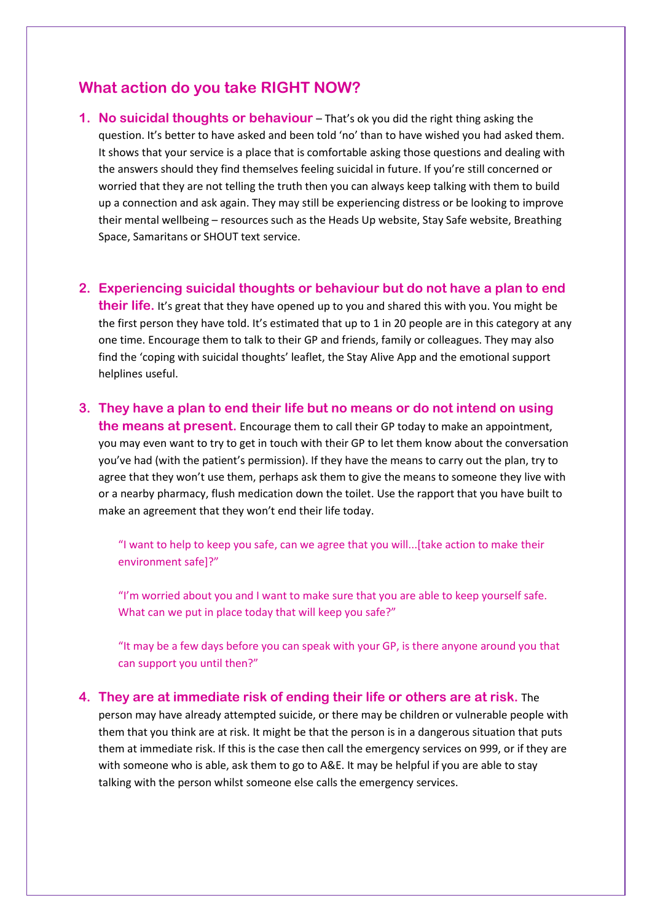### **What action do you take RIGHT NOW?**

**1. No suicidal thoughts or behaviour** – That's ok you did the right thing asking the question. It's better to have asked and been told 'no' than to have wished you had asked them. It shows that your service is a place that is comfortable asking those questions and dealing with the answers should they find themselves feeling suicidal in future. If you're still concerned or worried that they are not telling the truth then you can always keep talking with them to build up a connection and ask again. They may still be experiencing distress or be looking to improve their mental wellbeing – resources such as the Heads Up website, Stay Safe website, Breathing Space, Samaritans or SHOUT text service.

#### **2. Experiencing suicidal thoughts or behaviour but do not have a plan to end**

**their life.** It's great that they have opened up to you and shared this with you. You might be the first person they have told. It's estimated that up to 1 in 20 people are in this category at any one time. Encourage them to talk to their GP and friends, family or colleagues. They may also find the 'coping with suicidal thoughts' leaflet, the Stay Alive App and the emotional support helplines useful.

**3. They have a plan to end their life but no means or do not intend on using the means at present.** Encourage them to call their GP today to make an appointment,

you may even want to try to get in touch with their GP to let them know about the conversation you've had (with the patient's permission). If they have the means to carry out the plan, try to agree that they won't use them, perhaps ask them to give the means to someone they live with or a nearby pharmacy, flush medication down the toilet. Use the rapport that you have built to make an agreement that they won't end their life today.

"I want to help to keep you safe, can we agree that you will...[take action to make their environment safe]?"

"I'm worried about you and I want to make sure that you are able to keep yourself safe. What can we put in place today that will keep you safe?"

"It may be a few days before you can speak with your GP, is there anyone around you that can support you until then?"

**4. They are at immediate risk of ending their life or others are at risk.** The person may have already attempted suicide, or there may be children or vulnerable people with them that you think are at risk. It might be that the person is in a dangerous situation that puts them at immediate risk. If this is the case then call the emergency services on 999, or if they are with someone who is able, ask them to go to A&E. It may be helpful if you are able to stay talking with the person whilst someone else calls the emergency services.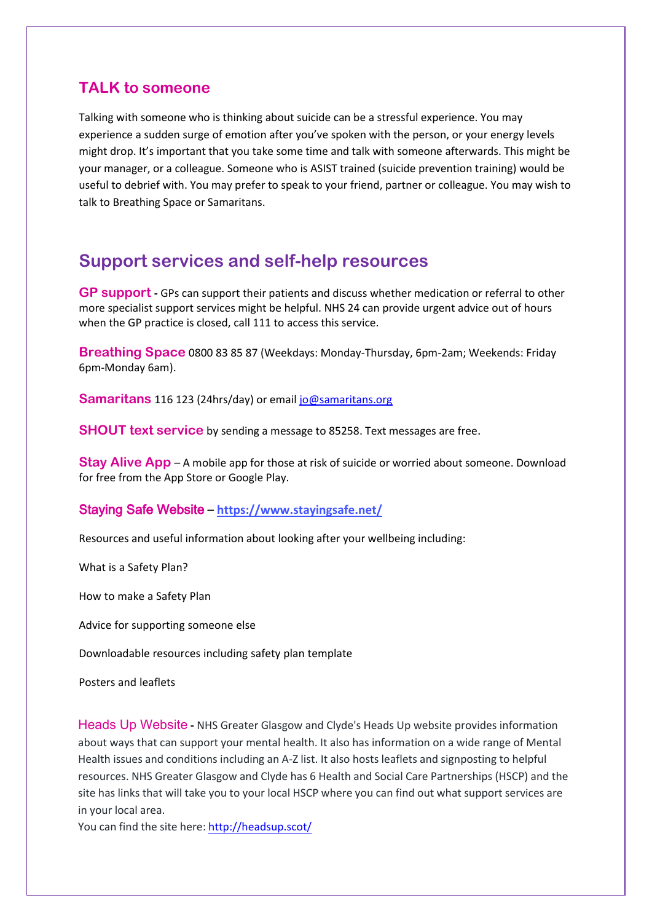### **TALK to someone**

Talking with someone who is thinking about suicide can be a stressful experience. You may experience a sudden surge of emotion after you've spoken with the person, or your energy levels might drop. It's important that you take some time and talk with someone afterwards. This might be your manager, or a colleague. Someone who is ASIST trained (suicide prevention training) would be useful to debrief with. You may prefer to speak to your friend, partner or colleague. You may wish to talk to Breathing Space or Samaritans.

### **Support services and self-help resources**

**GP support -** GPs can support their patients and discuss whether medication or referral to other more specialist support services might be helpful. NHS 24 can provide urgent advice out of hours when the GP practice is closed, call 111 to access this service.

**Breathing Space** 0800 83 85 87 (Weekdays: Monday-Thursday, 6pm-2am; Weekends: Friday 6pm-Monday 6am).

**Samaritans** 116 123 (24hrs/day) or email jo@samaritans.org

**SHOUT text service** by sending a message to 85258. Text messages are free.

**Stay Alive App** – A mobile app for those at risk of suicide or worried about someone. Download for free from the App Store or Google Play.

#### Staying Safe Website – **https://www.stayingsafe.net/**

Resources and useful information about looking after your wellbeing including:

What is a Safety Plan?

How to make a Safety Plan

Advice for supporting someone else

Downloadable resources including safety plan template

Posters and leaflets

Heads Up Website **-** NHS Greater Glasgow and Clyde's Heads Up website provides information about ways that can support your mental health. It also has information on a wide range of Mental Health issues and conditions including an A-Z list. It also hosts leaflets and signposting to helpful resources. NHS Greater Glasgow and Clyde has 6 Health and Social Care Partnerships (HSCP) and the site has links that will take you to your local HSCP where you can find out what support services are in your local area.

You can find the site here: http://headsup.scot/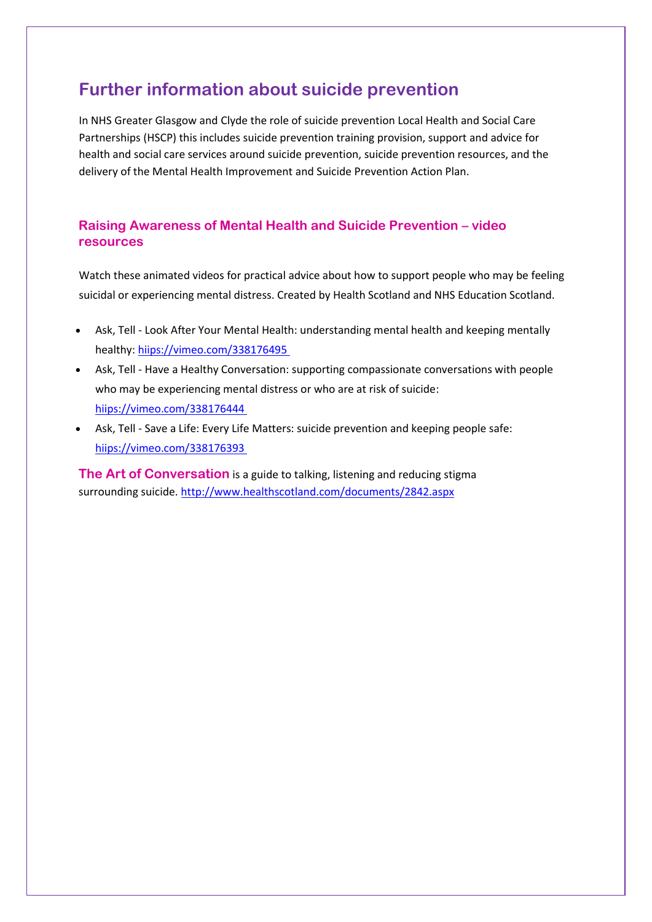## **Further information about suicide prevention**

In NHS Greater Glasgow and Clyde the role of suicide prevention Local Health and Social Care Partnerships (HSCP) this includes suicide prevention training provision, support and advice for health and social care services around suicide prevention, suicide prevention resources, and the delivery of the Mental Health Improvement and Suicide Prevention Action Plan.

#### **Raising Awareness of Mental Health and Suicide Prevention – video resources**

Watch these animated videos for practical advice about how to support people who may be feeling suicidal or experiencing mental distress. Created by Health Scotland and NHS Education Scotland.

- Ask, Tell Look After Your Mental Health: understanding mental health and keeping mentally healthy: hiips://vimeo.com/338176495
- Ask, Tell Have a Healthy Conversation: supporting compassionate conversations with people who may be experiencing mental distress or who are at risk of suicide: hiips://vimeo.com/338176444
- Ask, Tell Save a Life: Every Life Matters: suicide prevention and keeping people safe: hiips://vimeo.com/338176393

**The Art of Conversation** is a guide to talking, listening and reducing stigma surrounding suicide. http://www.healthscotland.com/documents/2842.aspx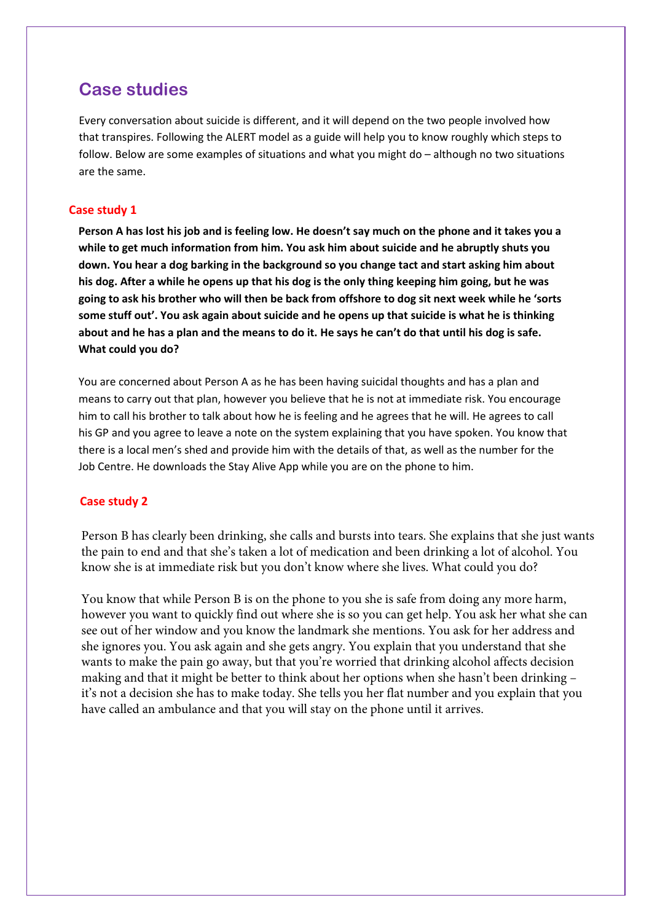### **Case studies**

Every conversation about suicide is different, and it will depend on the two people involved how that transpires. Following the ALERT model as a guide will help you to know roughly which steps to follow. Below are some examples of situations and what you might do – although no two situations are the same.

#### **Case study 1**

**Person A has lost his job and is feeling low. He doesn't say much on the phone and it takes you a while to get much information from him. You ask him about suicide and he abruptly shuts you down. You hear a dog barking in the background so you change tact and start asking him about his dog. After a while he opens up that his dog is the only thing keeping him going, but he was going to ask his brother who will then be back from offshore to dog sit next week while he 'sorts some stuff out'. You ask again about suicide and he opens up that suicide is what he is thinking about and he has a plan and the means to do it. He says he can't do that until his dog is safe. What could you do?** 

You are concerned about Person A as he has been having suicidal thoughts and has a plan and means to carry out that plan, however you believe that he is not at immediate risk. You encourage him to call his brother to talk about how he is feeling and he agrees that he will. He agrees to call his GP and you agree to leave a note on the system explaining that you have spoken. You know that there is a local men's shed and provide him with the details of that, as well as the number for the Job Centre. He downloads the Stay Alive App while you are on the phone to him.

#### **Case study 2**

Person B has clearly been drinking, she calls and bursts into tears. She explains that she just wants the pain to end and that she's taken a lot of medication and been drinking a lot of alcohol. You know she is at immediate risk but you don't know where she lives. What could you do?

You know that while Person B is on the phone to you she is safe from doing any more harm, however you want to quickly find out where she is so you can get help. You ask her what she can see out of her window and you know the landmark she mentions. You ask for her address and she ignores you. You ask again and she gets angry. You explain that you understand that she wants to make the pain go away, but that you're worried that drinking alcohol affects decision making and that it might be better to think about her options when she hasn't been drinking – it's not a decision she has to make today. She tells you her flat number and you explain that you have called an ambulance and that you will stay on the phone until it arrives.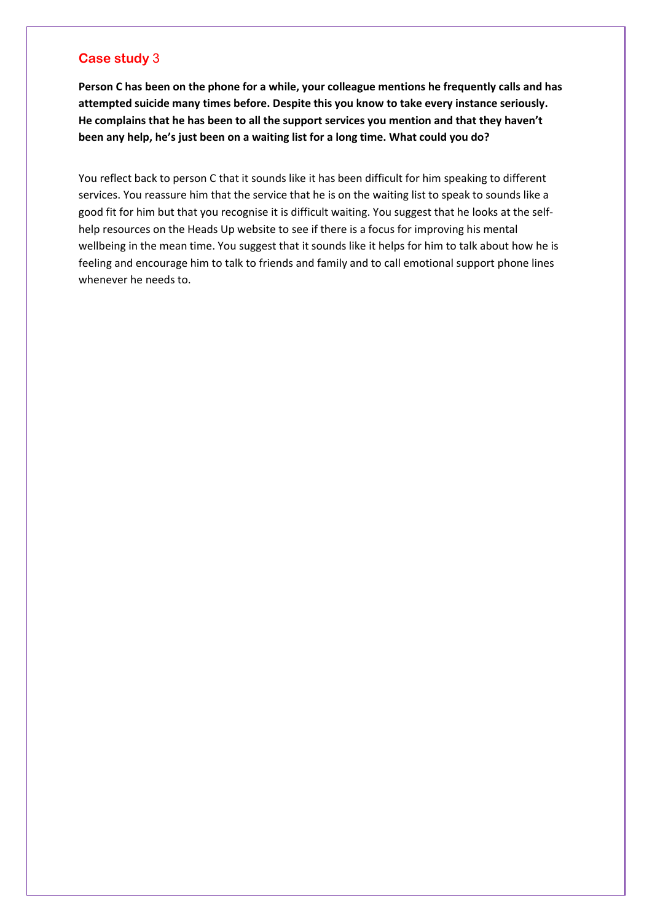#### **Case study** 3

**Person C has been on the phone for a while, your colleague mentions he frequently calls and has attempted suicide many times before. Despite this you know to take every instance seriously. He complains that he has been to all the support services you mention and that they haven't been any help, he's just been on a waiting list for a long time. What could you do?**

You reflect back to person C that it sounds like it has been difficult for him speaking to different services. You reassure him that the service that he is on the waiting list to speak to sounds like a good fit for him but that you recognise it is difficult waiting. You suggest that he looks at the selfhelp resources on the Heads Up website to see if there is a focus for improving his mental wellbeing in the mean time. You suggest that it sounds like it helps for him to talk about how he is feeling and encourage him to talk to friends and family and to call emotional support phone lines whenever he needs to.